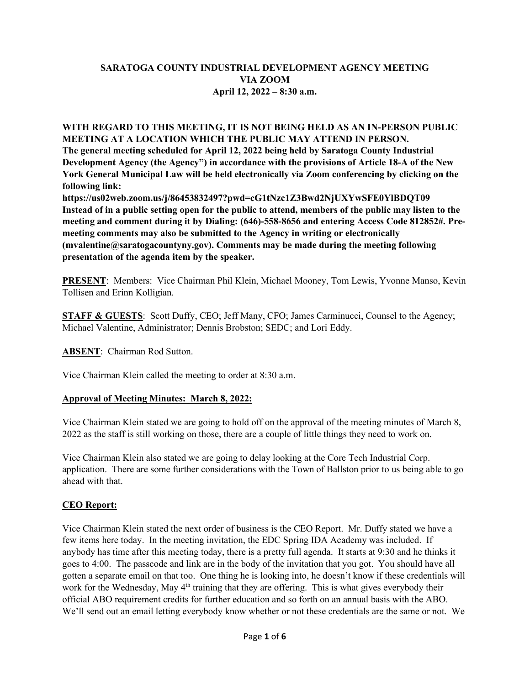# **SARATOGA COUNTY INDUSTRIAL DEVELOPMENT AGENCY MEETING VIA ZOOM April 12, 2022 – 8:30 a.m.**

### **WITH REGARD TO THIS MEETING, IT IS NOT BEING HELD AS AN IN-PERSON PUBLIC MEETING AT A LOCATION WHICH THE PUBLIC MAY ATTEND IN PERSON.**

**The general meeting scheduled for April 12, 2022 being held by Saratoga County Industrial Development Agency (the Agency") in accordance with the provisions of Article 18-A of the New York General Municipal Law will be held electronically via Zoom conferencing by clicking on the following link:**

**https://us02web.zoom.us/j/86453832497?pwd=cG1tNzc1Z3Bwd2NjUXYwSFE0YlBDQT09 Instead of in a public setting open for the public to attend, members of the public may listen to the meeting and comment during it by Dialing: (646)-558-8656 and entering Access Code 812852#. Premeeting comments may also be submitted to the Agency in writing or electronically (mvalentine@saratogacountyny.gov). Comments may be made during the meeting following presentation of the agenda item by the speaker.**

**PRESENT**: Members: Vice Chairman Phil Klein, Michael Mooney, Tom Lewis, Yvonne Manso, Kevin Tollisen and Erinn Kolligian.

**STAFF & GUESTS:** Scott Duffy, CEO; Jeff Many, CFO; James Carminucci, Counsel to the Agency; Michael Valentine, Administrator; Dennis Brobston; SEDC; and Lori Eddy.

**ABSENT**: Chairman Rod Sutton.

Vice Chairman Klein called the meeting to order at 8:30 a.m.

### **Approval of Meeting Minutes: March 8, 2022:**

Vice Chairman Klein stated we are going to hold off on the approval of the meeting minutes of March 8, 2022 as the staff is still working on those, there are a couple of little things they need to work on.

Vice Chairman Klein also stated we are going to delay looking at the Core Tech Industrial Corp. application. There are some further considerations with the Town of Ballston prior to us being able to go ahead with that.

### **CEO Report:**

Vice Chairman Klein stated the next order of business is the CEO Report. Mr. Duffy stated we have a few items here today. In the meeting invitation, the EDC Spring IDA Academy was included. If anybody has time after this meeting today, there is a pretty full agenda. It starts at 9:30 and he thinks it goes to 4:00. The passcode and link are in the body of the invitation that you got. You should have all gotten a separate email on that too. One thing he is looking into, he doesn't know if these credentials will work for the Wednesday, May 4<sup>th</sup> training that they are offering. This is what gives everybody their official ABO requirement credits for further education and so forth on an annual basis with the ABO. We'll send out an email letting everybody know whether or not these credentials are the same or not. We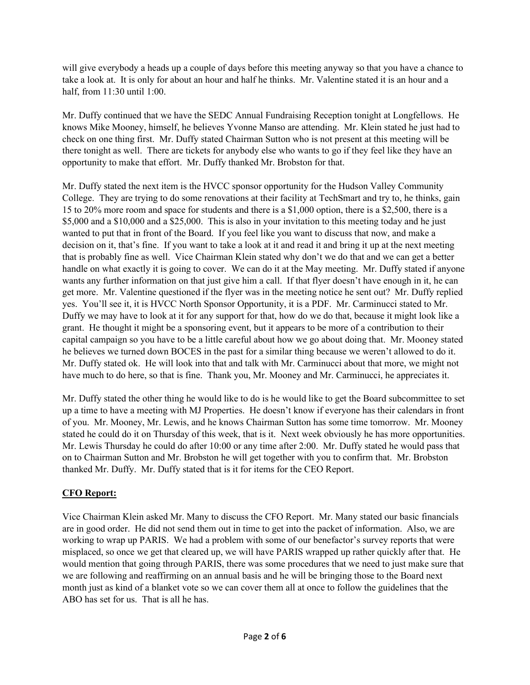will give everybody a heads up a couple of days before this meeting anyway so that you have a chance to take a look at. It is only for about an hour and half he thinks. Mr. Valentine stated it is an hour and a half, from 11:30 until 1:00.

Mr. Duffy continued that we have the SEDC Annual Fundraising Reception tonight at Longfellows. He knows Mike Mooney, himself, he believes Yvonne Manso are attending. Mr. Klein stated he just had to check on one thing first. Mr. Duffy stated Chairman Sutton who is not present at this meeting will be there tonight as well. There are tickets for anybody else who wants to go if they feel like they have an opportunity to make that effort. Mr. Duffy thanked Mr. Brobston for that.

Mr. Duffy stated the next item is the HVCC sponsor opportunity for the Hudson Valley Community College. They are trying to do some renovations at their facility at TechSmart and try to, he thinks, gain 15 to 20% more room and space for students and there is a \$1,000 option, there is a \$2,500, there is a \$5,000 and a \$10,000 and a \$25,000. This is also in your invitation to this meeting today and he just wanted to put that in front of the Board. If you feel like you want to discuss that now, and make a decision on it, that's fine. If you want to take a look at it and read it and bring it up at the next meeting that is probably fine as well. Vice Chairman Klein stated why don't we do that and we can get a better handle on what exactly it is going to cover. We can do it at the May meeting. Mr. Duffy stated if anyone wants any further information on that just give him a call. If that flyer doesn't have enough in it, he can get more. Mr. Valentine questioned if the flyer was in the meeting notice he sent out? Mr. Duffy replied yes. You'll see it, it is HVCC North Sponsor Opportunity, it is a PDF. Mr. Carminucci stated to Mr. Duffy we may have to look at it for any support for that, how do we do that, because it might look like a grant. He thought it might be a sponsoring event, but it appears to be more of a contribution to their capital campaign so you have to be a little careful about how we go about doing that. Mr. Mooney stated he believes we turned down BOCES in the past for a similar thing because we weren't allowed to do it. Mr. Duffy stated ok. He will look into that and talk with Mr. Carminucci about that more, we might not have much to do here, so that is fine. Thank you, Mr. Mooney and Mr. Carminucci, he appreciates it.

Mr. Duffy stated the other thing he would like to do is he would like to get the Board subcommittee to set up a time to have a meeting with MJ Properties. He doesn't know if everyone has their calendars in front of you. Mr. Mooney, Mr. Lewis, and he knows Chairman Sutton has some time tomorrow. Mr. Mooney stated he could do it on Thursday of this week, that is it. Next week obviously he has more opportunities. Mr. Lewis Thursday he could do after 10:00 or any time after 2:00. Mr. Duffy stated he would pass that on to Chairman Sutton and Mr. Brobston he will get together with you to confirm that. Mr. Brobston thanked Mr. Duffy. Mr. Duffy stated that is it for items for the CEO Report.

# **CFO Report:**

Vice Chairman Klein asked Mr. Many to discuss the CFO Report. Mr. Many stated our basic financials are in good order. He did not send them out in time to get into the packet of information. Also, we are working to wrap up PARIS. We had a problem with some of our benefactor's survey reports that were misplaced, so once we get that cleared up, we will have PARIS wrapped up rather quickly after that. He would mention that going through PARIS, there was some procedures that we need to just make sure that we are following and reaffirming on an annual basis and he will be bringing those to the Board next month just as kind of a blanket vote so we can cover them all at once to follow the guidelines that the ABO has set for us. That is all he has.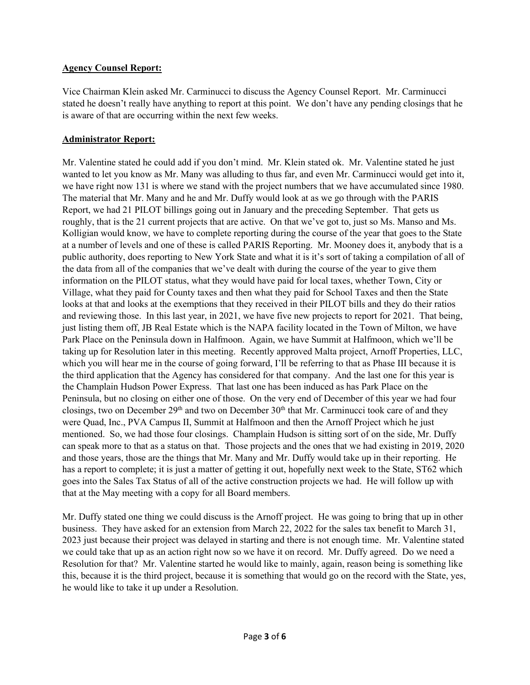#### **Agency Counsel Report:**

Vice Chairman Klein asked Mr. Carminucci to discuss the Agency Counsel Report. Mr. Carminucci stated he doesn't really have anything to report at this point. We don't have any pending closings that he is aware of that are occurring within the next few weeks.

#### **Administrator Report:**

Mr. Valentine stated he could add if you don't mind. Mr. Klein stated ok. Mr. Valentine stated he just wanted to let you know as Mr. Many was alluding to thus far, and even Mr. Carminucci would get into it, we have right now 131 is where we stand with the project numbers that we have accumulated since 1980. The material that Mr. Many and he and Mr. Duffy would look at as we go through with the PARIS Report, we had 21 PILOT billings going out in January and the preceding September. That gets us roughly, that is the 21 current projects that are active. On that we've got to, just so Ms. Manso and Ms. Kolligian would know, we have to complete reporting during the course of the year that goes to the State at a number of levels and one of these is called PARIS Reporting. Mr. Mooney does it, anybody that is a public authority, does reporting to New York State and what it is it's sort of taking a compilation of all of the data from all of the companies that we've dealt with during the course of the year to give them information on the PILOT status, what they would have paid for local taxes, whether Town, City or Village, what they paid for County taxes and then what they paid for School Taxes and then the State looks at that and looks at the exemptions that they received in their PILOT bills and they do their ratios and reviewing those. In this last year, in 2021, we have five new projects to report for 2021. That being, just listing them off, JB Real Estate which is the NAPA facility located in the Town of Milton, we have Park Place on the Peninsula down in Halfmoon. Again, we have Summit at Halfmoon, which we'll be taking up for Resolution later in this meeting. Recently approved Malta project, Arnoff Properties, LLC, which you will hear me in the course of going forward, I'll be referring to that as Phase III because it is the third application that the Agency has considered for that company. And the last one for this year is the Champlain Hudson Power Express. That last one has been induced as has Park Place on the Peninsula, but no closing on either one of those. On the very end of December of this year we had four closings, two on December 29<sup>th</sup> and two on December 30<sup>th</sup> that Mr. Carminucci took care of and they were Quad, Inc., PVA Campus II, Summit at Halfmoon and then the Arnoff Project which he just mentioned. So, we had those four closings. Champlain Hudson is sitting sort of on the side, Mr. Duffy can speak more to that as a status on that. Those projects and the ones that we had existing in 2019, 2020 and those years, those are the things that Mr. Many and Mr. Duffy would take up in their reporting. He has a report to complete; it is just a matter of getting it out, hopefully next week to the State, ST62 which goes into the Sales Tax Status of all of the active construction projects we had. He will follow up with that at the May meeting with a copy for all Board members.

Mr. Duffy stated one thing we could discuss is the Arnoff project. He was going to bring that up in other business. They have asked for an extension from March 22, 2022 for the sales tax benefit to March 31, 2023 just because their project was delayed in starting and there is not enough time. Mr. Valentine stated we could take that up as an action right now so we have it on record. Mr. Duffy agreed. Do we need a Resolution for that? Mr. Valentine started he would like to mainly, again, reason being is something like this, because it is the third project, because it is something that would go on the record with the State, yes, he would like to take it up under a Resolution.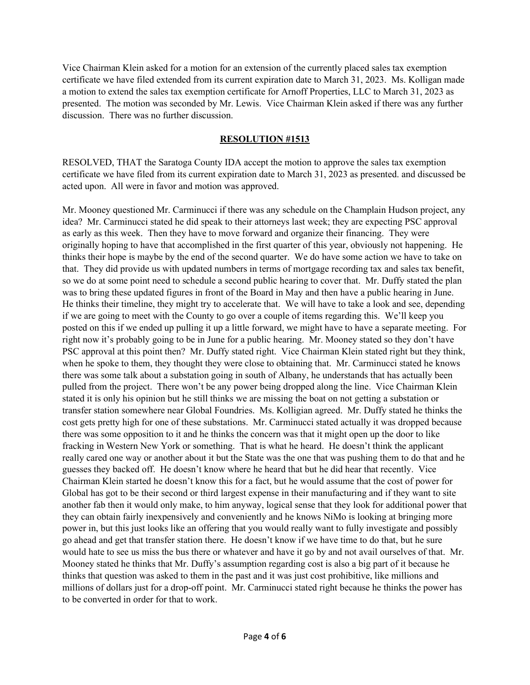Vice Chairman Klein asked for a motion for an extension of the currently placed sales tax exemption certificate we have filed extended from its current expiration date to March 31, 2023. Ms. Kolligan made a motion to extend the sales tax exemption certificate for Arnoff Properties, LLC to March 31, 2023 as presented. The motion was seconded by Mr. Lewis. Vice Chairman Klein asked if there was any further discussion. There was no further discussion.

#### **RESOLUTION #1513**

RESOLVED, THAT the Saratoga County IDA accept the motion to approve the sales tax exemption certificate we have filed from its current expiration date to March 31, 2023 as presented. and discussed be acted upon. All were in favor and motion was approved.

Mr. Mooney questioned Mr. Carminucci if there was any schedule on the Champlain Hudson project, any idea? Mr. Carminucci stated he did speak to their attorneys last week; they are expecting PSC approval as early as this week. Then they have to move forward and organize their financing. They were originally hoping to have that accomplished in the first quarter of this year, obviously not happening. He thinks their hope is maybe by the end of the second quarter. We do have some action we have to take on that. They did provide us with updated numbers in terms of mortgage recording tax and sales tax benefit, so we do at some point need to schedule a second public hearing to cover that. Mr. Duffy stated the plan was to bring these updated figures in front of the Board in May and then have a public hearing in June. He thinks their timeline, they might try to accelerate that. We will have to take a look and see, depending if we are going to meet with the County to go over a couple of items regarding this. We'll keep you posted on this if we ended up pulling it up a little forward, we might have to have a separate meeting. For right now it's probably going to be in June for a public hearing. Mr. Mooney stated so they don't have PSC approval at this point then? Mr. Duffy stated right. Vice Chairman Klein stated right but they think, when he spoke to them, they thought they were close to obtaining that. Mr. Carminucci stated he knows there was some talk about a substation going in south of Albany, he understands that has actually been pulled from the project. There won't be any power being dropped along the line. Vice Chairman Klein stated it is only his opinion but he still thinks we are missing the boat on not getting a substation or transfer station somewhere near Global Foundries. Ms. Kolligian agreed. Mr. Duffy stated he thinks the cost gets pretty high for one of these substations. Mr. Carminucci stated actually it was dropped because there was some opposition to it and he thinks the concern was that it might open up the door to like fracking in Western New York or something. That is what he heard. He doesn't think the applicant really cared one way or another about it but the State was the one that was pushing them to do that and he guesses they backed off. He doesn't know where he heard that but he did hear that recently. Vice Chairman Klein started he doesn't know this for a fact, but he would assume that the cost of power for Global has got to be their second or third largest expense in their manufacturing and if they want to site another fab then it would only make, to him anyway, logical sense that they look for additional power that they can obtain fairly inexpensively and conveniently and he knows NiMo is looking at bringing more power in, but this just looks like an offering that you would really want to fully investigate and possibly go ahead and get that transfer station there. He doesn't know if we have time to do that, but he sure would hate to see us miss the bus there or whatever and have it go by and not avail ourselves of that. Mr. Mooney stated he thinks that Mr. Duffy's assumption regarding cost is also a big part of it because he thinks that question was asked to them in the past and it was just cost prohibitive, like millions and millions of dollars just for a drop-off point. Mr. Carminucci stated right because he thinks the power has to be converted in order for that to work.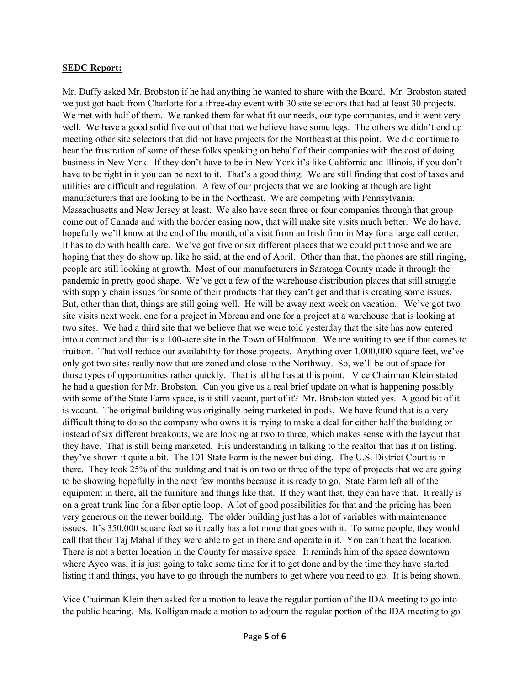#### **SEDC Report:**

Mr. Duffy asked Mr. Brobston if he had anything he wanted to share with the Board. Mr. Brobston stated we just got back from Charlotte for a three-day event with 30 site selectors that had at least 30 projects. We met with half of them. We ranked them for what fit our needs, our type companies, and it went very well. We have a good solid five out of that that we believe have some legs. The others we didn't end up meeting other site selectors that did not have projects for the Northeast at this point. We did continue to hear the frustration of some of these folks speaking on behalf of their companies with the cost of doing business in New York. If they don't have to be in New York it's like California and Illinois, if you don't have to be right in it you can be next to it. That's a good thing. We are still finding that cost of taxes and utilities are difficult and regulation. A few of our projects that we are looking at though are light manufacturers that are looking to be in the Northeast. We are competing with Pennsylvania, Massachusetts and New Jersey at least. We also have seen three or four companies through that group come out of Canada and with the border easing now, that will make site visits much better. We do have, hopefully we'll know at the end of the month, of a visit from an Irish firm in May for a large call center. It has to do with health care. We've got five or six different places that we could put those and we are hoping that they do show up, like he said, at the end of April. Other than that, the phones are still ringing, people are still looking at growth. Most of our manufacturers in Saratoga County made it through the pandemic in pretty good shape. We've got a few of the warehouse distribution places that still struggle with supply chain issues for some of their products that they can't get and that is creating some issues. But, other than that, things are still going well. He will be away next week on vacation. We've got two site visits next week, one for a project in Moreau and one for a project at a warehouse that is looking at two sites. We had a third site that we believe that we were told yesterday that the site has now entered into a contract and that is a 100-acre site in the Town of Halfmoon. We are waiting to see if that comes to fruition. That will reduce our availability for those projects. Anything over 1,000,000 square feet, we've only got two sites really now that are zoned and close to the Northway. So, we'll be out of space for those types of opportunities rather quickly. That is all he has at this point. Vice Chairman Klein stated he had a question for Mr. Brobston. Can you give us a real brief update on what is happening possibly with some of the State Farm space, is it still vacant, part of it? Mr. Brobston stated yes. A good bit of it is vacant. The original building was originally being marketed in pods. We have found that is a very difficult thing to do so the company who owns it is trying to make a deal for either half the building or instead of six different breakouts, we are looking at two to three, which makes sense with the layout that they have. That is still being marketed. His understanding in talking to the realtor that has it on listing, they've shown it quite a bit. The 101 State Farm is the newer building. The U.S. District Court is in there. They took 25% of the building and that is on two or three of the type of projects that we are going to be showing hopefully in the next few months because it is ready to go. State Farm left all of the equipment in there, all the furniture and things like that. If they want that, they can have that. It really is on a great trunk line for a fiber optic loop. A lot of good possibilities for that and the pricing has been very generous on the newer building. The older building just has a lot of variables with maintenance issues. It's 350,000 square feet so it really has a lot more that goes with it. To some people, they would call that their Taj Mahal if they were able to get in there and operate in it. You can't beat the location. There is not a better location in the County for massive space. It reminds him of the space downtown where Ayco was, it is just going to take some time for it to get done and by the time they have started listing it and things, you have to go through the numbers to get where you need to go. It is being shown.

Vice Chairman Klein then asked for a motion to leave the regular portion of the IDA meeting to go into the public hearing. Ms. Kolligan made a motion to adjourn the regular portion of the IDA meeting to go